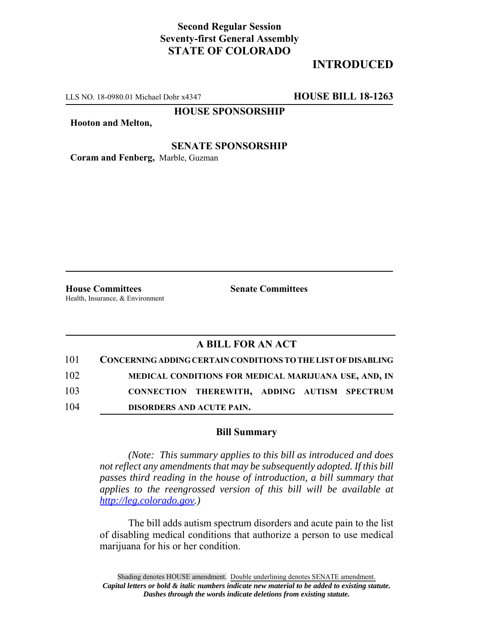## **Second Regular Session Seventy-first General Assembly STATE OF COLORADO**

# **INTRODUCED**

LLS NO. 18-0980.01 Michael Dohr x4347 **HOUSE BILL 18-1263**

**HOUSE SPONSORSHIP**

**Hooton and Melton,**

#### **SENATE SPONSORSHIP**

**Coram and Fenberg,** Marble, Guzman

**House Committees Senate Committees** Health, Insurance, & Environment

### **A BILL FOR AN ACT**

| 101 | CONCERNING ADDING CERTAIN CONDITIONS TO THE LIST OF DISABLING |
|-----|---------------------------------------------------------------|
| 102 | MEDICAL CONDITIONS FOR MEDICAL MARIJUANA USE, AND, IN         |
| 103 | CONNECTION THEREWITH, ADDING AUTISM SPECTRUM                  |
| 104 | <b>DISORDERS AND ACUTE PAIN.</b>                              |

#### **Bill Summary**

*(Note: This summary applies to this bill as introduced and does not reflect any amendments that may be subsequently adopted. If this bill passes third reading in the house of introduction, a bill summary that applies to the reengrossed version of this bill will be available at http://leg.colorado.gov.)*

The bill adds autism spectrum disorders and acute pain to the list of disabling medical conditions that authorize a person to use medical marijuana for his or her condition.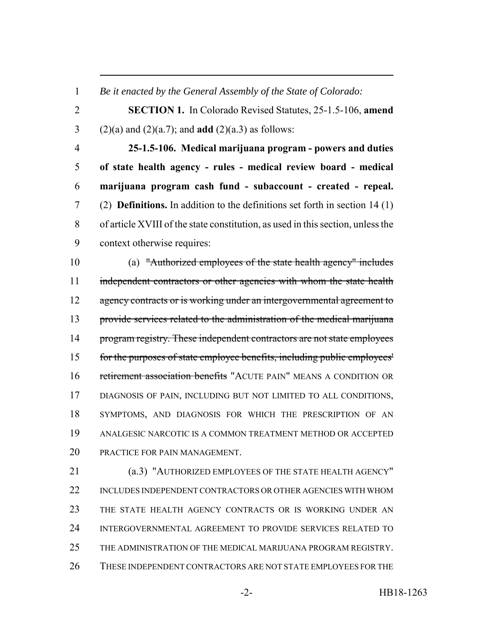*Be it enacted by the General Assembly of the State of Colorado:*

 **SECTION 1.** In Colorado Revised Statutes, 25-1.5-106, **amend** 3 (2)(a) and (2)(a.7); and **add** (2)(a.3) as follows:

 **25-1.5-106. Medical marijuana program - powers and duties of state health agency - rules - medical review board - medical marijuana program cash fund - subaccount - created - repeal.** (2) **Definitions.** In addition to the definitions set forth in section 14 (1) of article XVIII of the state constitution, as used in this section, unless the context otherwise requires:

 (a) "Authorized employees of the state health agency" includes 11 independent contractors or other agencies with whom the state health 12 agency contracts or is working under an intergovernmental agreement to provide services related to the administration of the medical marijuana 14 program registry. These independent contractors are not state employees for the purposes of state employee benefits, including public employees' 16 retirement association benefits "ACUTE PAIN" MEANS A CONDITION OR DIAGNOSIS OF PAIN, INCLUDING BUT NOT LIMITED TO ALL CONDITIONS, SYMPTOMS, AND DIAGNOSIS FOR WHICH THE PRESCRIPTION OF AN ANALGESIC NARCOTIC IS A COMMON TREATMENT METHOD OR ACCEPTED PRACTICE FOR PAIN MANAGEMENT.

 (a.3) "AUTHORIZED EMPLOYEES OF THE STATE HEALTH AGENCY" INCLUDES INDEPENDENT CONTRACTORS OR OTHER AGENCIES WITH WHOM THE STATE HEALTH AGENCY CONTRACTS OR IS WORKING UNDER AN INTERGOVERNMENTAL AGREEMENT TO PROVIDE SERVICES RELATED TO THE ADMINISTRATION OF THE MEDICAL MARIJUANA PROGRAM REGISTRY. THESE INDEPENDENT CONTRACTORS ARE NOT STATE EMPLOYEES FOR THE